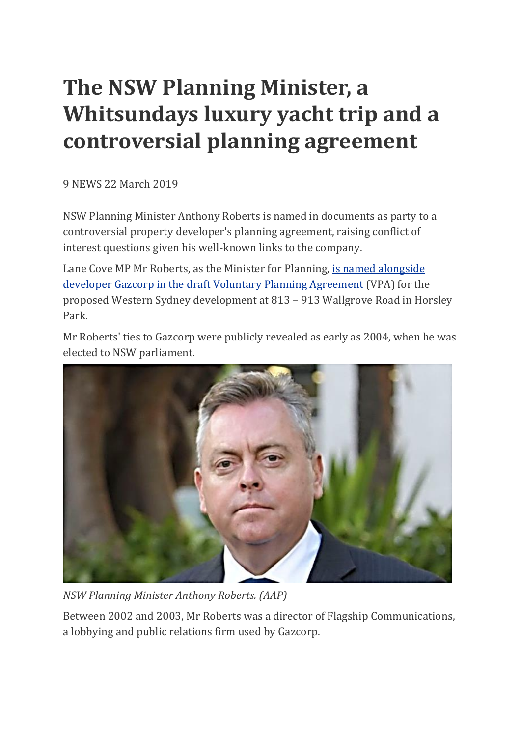## **The NSW Planning Minister, a Whitsundays luxury yacht trip and a controversial planning agreement**

9 NEWS 22 March 2019

NSW Planning Minister Anthony Roberts is named in documents as party to a controversial property developer's planning agreement, raising conflict of interest questions given his well-known links to the company.

Lane Cove MP Mr Roberts, as the Minister for Planning, is named [alongside](https://majorprojects.accelo.com/public/ca6826f06a6c518bfbae8adec2a86005/Draft%20Planning%20Agreement-1.PDF) developer Gazcorp in the draft Voluntary Planning [Agreement](https://majorprojects.accelo.com/public/ca6826f06a6c518bfbae8adec2a86005/Draft%20Planning%20Agreement-1.PDF) (VPA) for the proposed Western Sydney development at 813 – 913 Wallgrove Road in Horsley Park.

Mr Roberts' ties to Gazcorp were publicly revealed as early as 2004, when he was elected to NSW parliament.



*NSW Planning Minister Anthony Roberts. (AAP)*

Between 2002 and 2003, Mr Roberts was a director of Flagship Communications, a lobbying and public relations firm used by Gazcorp.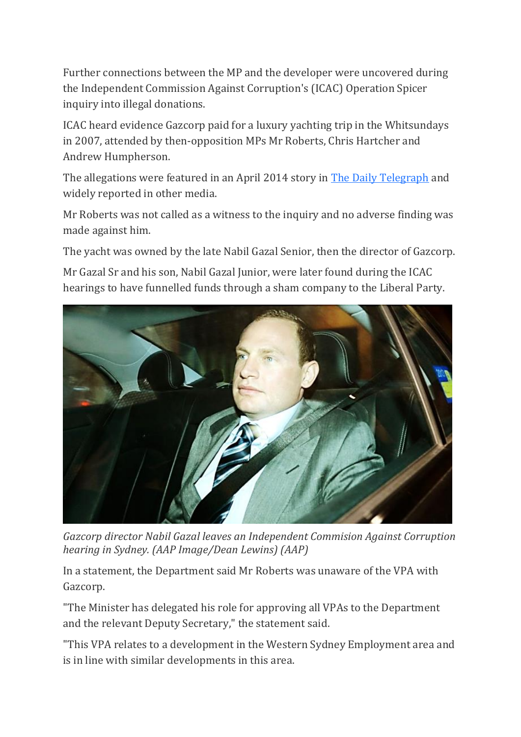Further connections between the MP and the developer were uncovered during the Independent Commission Against Corruption's (ICAC) Operation Spicer inquiry into illegal donations.

ICAC heard evidence Gazcorp paid for a luxury yachting trip in the Whitsundays in 2007, attended by then-opposition MPs Mr Roberts, Chris Hartcher and Andrew Humpherson.

The allegations were featured in an April 2014 story in The Daily [Telegraph](https://www.dailytelegraph.com.au/news/nsw/icac-more-than-400000-in-hidden-donations-funnelled-through-liberal-party-slush-fund-run-by-former-minister-chris-hartcher/news-story/8f078e5a4cba57e87ae002dba9475336) and widely reported in other media.

Mr Roberts was not called as a witness to the inquiry and no adverse finding was made against him.

The yacht was owned by the late Nabil Gazal Senior, then the director of Gazcorp.

Mr Gazal Sr and his son, Nabil Gazal Junior, were later found during the ICAC hearings to have funnelled funds through a sham company to the Liberal Party.



*Gazcorp director Nabil Gazal leaves an Independent Commision Against Corruption hearing in Sydney. (AAP Image/Dean Lewins) (AAP)*

In a statement, the Department said Mr Roberts was unaware of the VPA with Gazcorp.

"The Minister has delegated his role for approving all VPAs to the Department and the relevant Deputy Secretary," the statement said.

"This VPA relates to a development in the Western Sydney Employment area and is in line with similar developments in this area.